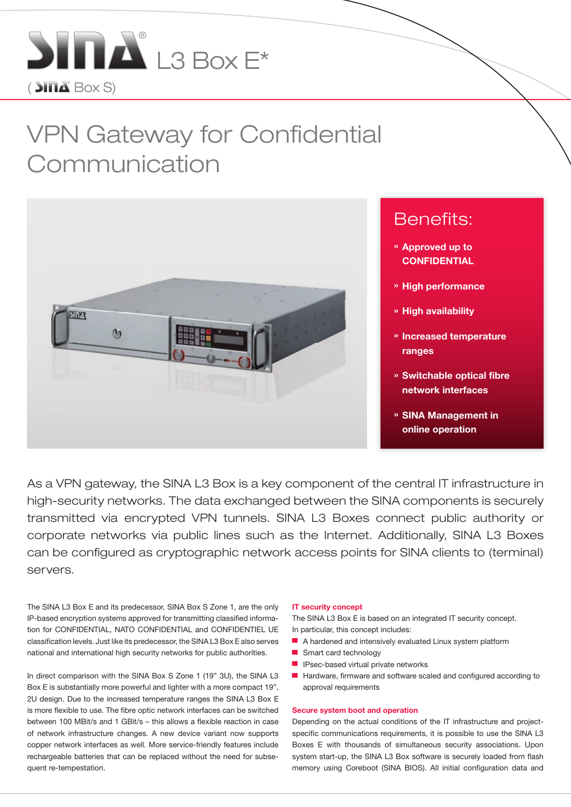

# VPN Gateway for Confidential Communication



As a VPN gateway, the SINA L3 Box is a key component of the central IT infrastructure in high-security networks. The data exchanged between the SINA components is securely transmitted via encrypted VPN tunnels. SINA L3 Boxes connect public authority or corporate networks via public lines such as the Internet. Additionally, SINA L3 Boxes can be configured as cryptographic network access points for SINA clients to (terminal) servers.

The SINA L3 Box E and its predecessor, SINA Box S Zone 1, are the only IP-based encryption systems approved for transmitting classified information for CONFIDENTIAL, NATO CONFIDENTIAL and CONFIDENTIEL UE classification levels. Just like its predecessor, the SINA L3 Box E also serves national and international high security networks for public authorities.

In direct comparison with the SINA Box S Zone 1 (19" 3U), the SINA L3 Box E is substantially more powerful and lighter with a more compact 19", 2U design. Due to the increased temperature ranges the SINA L3 Box E is more flexible to use. The fibre optic network interfaces can be switched between 100 MBit/s and 1 GBit/s – this allows a flexible reaction in case of network infrastructure changes. A new device variant now supports copper network interfaces as well. More service-friendly features include rechargeable batteries that can be replaced without the need for subsequent re-tempestation.

#### IT security concept

The SINA L3 Box E is based on an integrated IT security concept. In particular, this concept includes:

- A hardened and intensively evaluated Linux system platform
- Smart card technology
- IPsec-based virtual private networks
- Hardware, firmware and software scaled and configured according to approval requirements

#### Secure system boot and operation

Depending on the actual conditions of the IT infrastructure and projectspecific communications requirements, it is possible to use the SINA L3 Boxes E with thousands of simultaneous security associations. Upon system start-up, the SINA L3 Box software is securely loaded from flash memory using Coreboot (SINA BIOS). All initial configuration data and